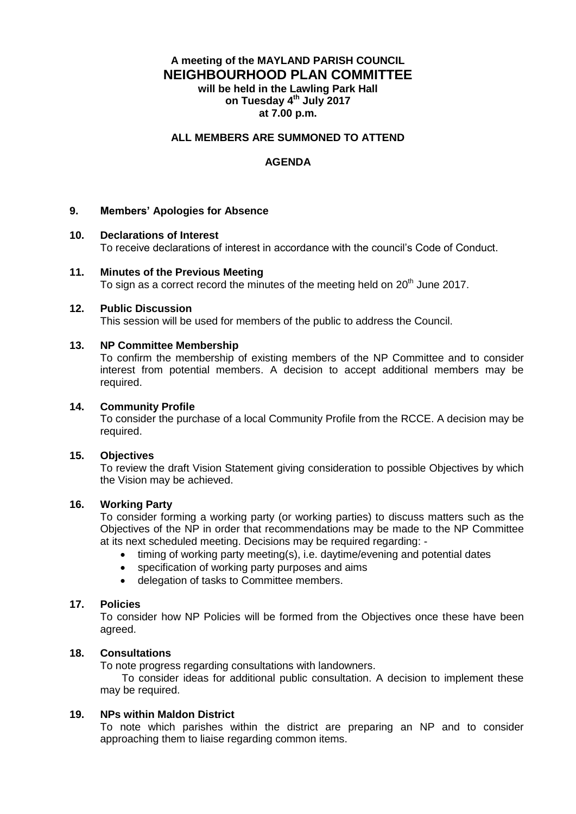# **A meeting of the MAYLAND PARISH COUNCIL NEIGHBOURHOOD PLAN COMMITTEE will be held in the Lawling Park Hall on Tuesday 4 th July 2017 at 7.00 p.m.**

## **ALL MEMBERS ARE SUMMONED TO ATTEND**

# **AGENDA**

## **9. Members' Apologies for Absence**

#### **10. Declarations of Interest**

To receive declarations of interest in accordance with the council's Code of Conduct.

#### **11. Minutes of the Previous Meeting**

To sign as a correct record the minutes of the meeting held on  $20<sup>th</sup>$  June 2017.

#### **12. Public Discussion**

This session will be used for members of the public to address the Council.

#### **13. NP Committee Membership**

To confirm the membership of existing members of the NP Committee and to consider interest from potential members. A decision to accept additional members may be required.

#### **14. Community Profile**

To consider the purchase of a local Community Profile from the RCCE. A decision may be required.

## **15. Objectives**

To review the draft Vision Statement giving consideration to possible Objectives by which the Vision may be achieved.

## **16. Working Party**

To consider forming a working party (or working parties) to discuss matters such as the Objectives of the NP in order that recommendations may be made to the NP Committee at its next scheduled meeting. Decisions may be required regarding: -

- timing of working party meeting(s), i.e. daytime/evening and potential dates
- specification of working party purposes and aims
- delegation of tasks to Committee members.

## **17. Policies**

To consider how NP Policies will be formed from the Objectives once these have been agreed.

## **18. Consultations**

To note progress regarding consultations with landowners.

To consider ideas for additional public consultation. A decision to implement these may be required.

# **19. NPs within Maldon District**

To note which parishes within the district are preparing an NP and to consider approaching them to liaise regarding common items.